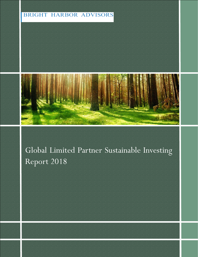# **BRIGHT HARBOR ADVISORS**



# Global Limited Partner Sustainable Investing Report 2018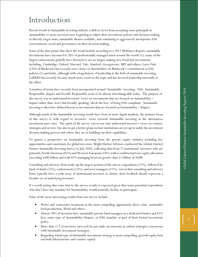# Introduction

Recent trends in Sustainable investing indicate a shift in views from accepting some principals in sustainability to more investors now beginning to adjust their investment policies and decision making to directly target many sustainable themes available , and continuing to aggressively incorporate ESG (environment, social and governance) in their decision making.

Some of the data points that show the trend include according to a 2017 McKinsey Report: sustainable investments have increased to 26% of professionally managed assets around the world (1); many of the largest endowments globally have divested or are no longer making new fossil fuel investments including, Cambridge, Oxford, Harvard, Yale, Stanford, Georgetown, MIT and others; Larry Fink (CEO of Blackrock) has recently sent a letter to shareholders on Blackrock's commitment to ESG policies (2) and lastly, although with a long history of leadership in the field of sustainable investing, CalPERS has recently become much more vocal on the topic and has devoted leadership internally to the effort.

A number of terms have recently been incorporated around 'Sustainable' investing. ESG, Sustainable, Responsible, Impact and Socially Responsible seem to be almost interchangeable today. The purpose of this survey was to understand investors' views on investments that are focused on Sustainability / Impact rather than views that broadly speaking 'check the box' of being ESG compli ant. Sustainable investing is therefore defined herein as investments that are focused on Sustainability / Impact.

Although much of the Sustainable investing trends have been in more liquid markets , the primary focus of this survey is with regard to investors' views towards Sustainable investing in the alternatives investment asset class. The spirit of the survey was to not only understand investor's views on returns, strategies and sectors but also to get a better grasp on how institutions are set up to tackle the investment decision making process and where they are in building out their capabilities.

To garner a perspective on Sustainable investing from the private equity industry including key opportunities and constraints for global investors , Bright Harbor Advisors conducted the Global Limited Partner Sustainable Investing Survey in July 2018, collecting data from 72 instituional investors who are primarily North American (82%) and Western European (14%) with a combined private equity allocation exceeding \$500 billion and with 82% managing between greater than \$1 billion of AUM.

Consulting and advisory firms make up the largest portion of the survey respondents (22%), followed by fund-of-funds (15%), endowments (13%), and asset managers (11%). Given that consulting and advisory firms typically have a wide array of institutional investors as clients , their feedback should represent a broader set of underlying investors.

It's worth noting that some bias to the survey results is expected given that many potential respondents who don't have any mandate for Sustainability would naturally decline to participate.

Some of the more interesting results from our survey include:

- Water and wastewater treatment as the most compelling opportunity above solar, sustainable food production, Wind and others.
- Almost 20% of investors have sustainable private fund managers in a dedicated bucket and 81% have some type of Sustainability/Impact, or ESG mandate as part of their formal investment policy.
- More than 2/3 of investors surveyed do not make investments in carbon strategies concurrent with Sustainable investment strategies.
- Regarding which type of Sustainable investment strategy is most compelling, growth equity beat out both infrastructure and venture capital.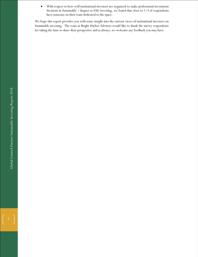• With respect to how well institutional investors are organized to make professional investment decisions in Sustainable / Impact or ESG investing, we found that close to 1/3 of respondents have someone on their team dedicated to the space.

We hope this report provides you with some insight into the current views of institutional investors on Sustainable investing. The team at Bright Harbor Advisors would like to thank the survey respondents for taking the time to share their perspective and as always, we welcome any feedback you may have.

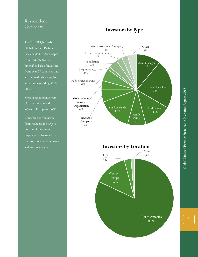## Respondent **Overview**

The 2018 Bright Harbor Global Limited Partner Sustainable Investing Report collected data from a diversified base of investors a combined private equity allocation exceeding \$500 billion.

Most of respondents were North American and Western European (96%).

Consulting and advisory firms make up the largest portion of the survey respondents, followed by fund-of-funds, endowments and asset managers.

# **Investors by Type**



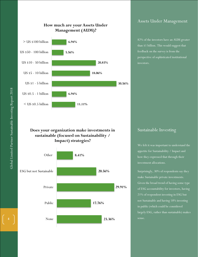

#### **How much are your Assets Under Management (AUM)?**

### Assets Under Management

82% of the investors have an AUM greater than \$1 billion. This would suggest that feedback on the survey is from the perspective of sophisticated institutional investors.

#### **Does your organization make investments in sustainable (focused on Sustainability / Impact) strategies?**



#### Sustainable Investing

We felt it was important to understand the appetite for Sustainability / Impact and how they expressed that through their investment allocations.

Surprisingly, 30% of respondents say they make Sustainable private investments. Given the broad trend of having some type of ESG accountability for investors, having 21% of respondent investing in ESG but not Sustainable and having 18% investing in public (which could be considered largely ESG, rather than sustainable) makes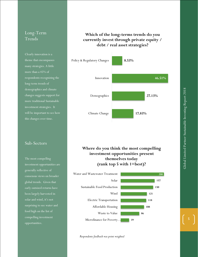## Long-Term Trends

Clearly innovation is a theme that encompasses many strategies. A little more than a 45% of respondents recognizing the long-term trends of demographics and climate changes suggests support for more traditional Sustainable investment strategies. It will be important to see how this changes over time.

#### Sub-Sectors

The most compelling investment opportunities are generally reflective of consensus views on broader global trends. Given that early outsized returns have been largely harvested in solar and wind, it's not surprising to see water and food high on the list of compelling investment opportunities.

## **Which of the long-terms trends do you currently invest through private equity / debt / real asset strategies?**



**Where do you think the most compelling investment opportunities present themselves today (rank top 5 with 1=best)?**



*Respondents feedback was point weighted*

**5**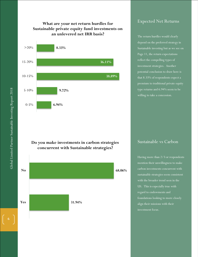#### **What are your net return hurdles for Sustainable private equity fund investments on an unlevered net IRR basis?**



#### **Do you make investments in carbon strategies concurrent with Sustainable strategies?**



#### Expected Net Returns

The return hurdles would clearly depend on the preferred strategy in Sustainable investing but as we see on Page 11, the return expectations reflect the compelling types of investment strategies. Another potential conclusion to draw here is that 8.33% of respondents expect a premium to traditional private equity type returns and 6.94% seem to be willing to take a concession.

Sustainable vs Carbon

Having more than 2/3 or respondents mention their unwillingness to make carbon investments concurrent with sustainable strategies seem consistent with the broader trend seen in the US. This is especially true with regard to endowments and foundations looking to more closely align their missions with their investment focus.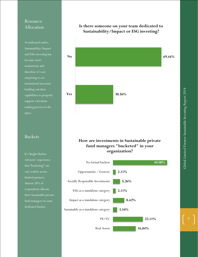## Resource Allocation

As indicated earlier, Sustainability/Impact and ESG investing has become more mainstream and therefore it's not surprising to see institutional investors building out their capabilities to properly support a decisionmaking process in the space.

#### Buckets

It's Bright Harbor Advisors' experience that "bucketing" can vary widely across limited partners. Almost 20% of respondents allocate their Sustainable private fund managers in some dedicated bucket.



#### **How are investments in Sustainable private fund managers "bucketed" in your organization?**



#### **Is there someone on your team dedicated to Sustainability/Impact or ESG investing?**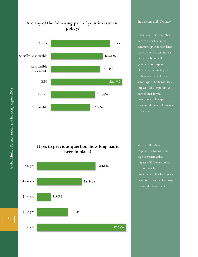

#### **If yes to previous question, how long has it been in place?**



### Investment Policy

Again, some bias expected here as described in the summary given respondents that do not have an interest in sustainability will generally not respond. However, the finding that 81% of respondents have some type of Sustainability / Impact / ESG exposure as part of their formal investment policy speaks to the commitment of investors to the space.

With a full 25% of respondents having some type of Sustainability / Impact / ESG exposure as part of their formal investment policy for 6 years or more shows that for many

Global Limited Partner Sustainable Investing Report 2018 Global Limited Partner Sustainable Investing Report 2018

**8**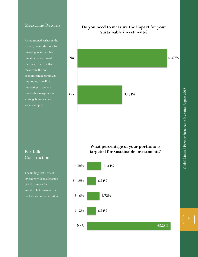#### Measuring Returns

As mentioned earlier in the investing in Sustainable reaching. It's clear that measuring the noneconomic impact remains important. It will be interesting to see what standards emerge as the strategy becomes more widely adopted.



# Portfolio Construction

The finding that 18% of investors with an allocation of 6% or more for Sustainable investments is well above our expectation.

#### **What percentage of your portfolio is targeted for Sustainable investments?**

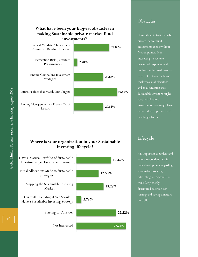



#### **Where is your organization in your Sustainable investing lifecycle?**



### **Obstacles**

Commitments to Sustainable private market fund investments is not without friction points. It is interesting to see one quarter of respondents do not have an internal mandate to invest. Given the broad track record of cleantech and an assumption that Sustainable investors might have had cleantech investments, one might have expected perception risk to be a larger factor.

## Lifecycle

It is important to understand where respondents are in their development regarding sustainable investing. Interestingly, respondents distributed between just starting and having a mature portfolio.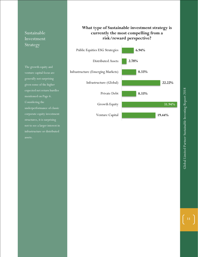## Sustainable Investment Strategy

The growth equity and venture capital focus are generally not surprising given some of the higher expected net return hurdles mentioned on Page 6. Considering the underperformance of classic corporate equity investment structures, it is surprising not to see a larger interest in infrastructure or distributed

### **What type of Sustainable investment strategy is currently the most compelling from a risk/reward perspective?**

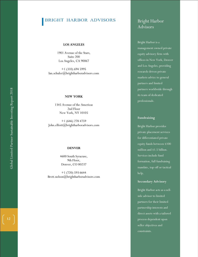#### BRIGHT HARBOR ADVISORS

#### **LOS ANGELES**

1901 Avenue of the Stars, Suite 200 Los Angeles, CA 90067

+1 (310) 694 5995 Ian.schuler@brightharboradvisors.com

#### **NEW YORK**

1345 Avenue of the Americas 2nd Floor New York, NY 10105

+1 (646) 278 4759 John.elliott@brightharboradvisors.com

#### **DENVER**

4600 South Syracuse, 9th Floor, Denver, CO 80237

+1 (720) 593 6644 Brett.nelson@brightharboradvisors.com

## Bright Harbor Advisors

Bright Harbor is a management owned private equity advisory firm with offices in New York, Denver and Los Angeles, providing research -driven private markets advice to general partners and limited partners worldwide through its team of dedicated professionals.

#### **Fundraising**

Bright Harbor provide s private placement services for differentiated private equity fund s between \$100 million and \$1.5 billion. Services include fund formation, full fundraising mandate, top -off or tactical help.

#### **Secondary Advisory**

Bright Harbor acts as a sell side advisor to limited partners for their limited partnership interests and direct assets with a tailored process dependent upon seller objectives and constraints.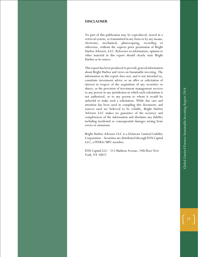#### **DISCLAIMER**

No part of this publication may be reproduced, stored in a retrieval system, or transmitted in any form or by any means, electronic, mechanical, photocopying, recording or otherwise, without the express prior permission of Bright Harbor Advisors, LLC. Reference to information, opinion or other material in this report should clearly state Bright Harbor as its source.

This report has been produced to provide general information about Bright Harbor and views on Sustainable investing. The information in this report does not, and is not intended to, constitute investment advice or an offer or solicitation of interest in respect of the acquisition of any securities or shares, or the provision of investment management services to any person in any jurisdiction in which such solicitation is not authorized, or to any person to whom it would be unlawful to make such a solicitation. While due care and attention has been used in compiling this document, and sources used are believed to be reliable, Bright Harbor Advisors LLC makes no guarantee of the accuracy and completeness of the information and disclaims any liability including incidental or consequential damages arising from errors or omissions.

Bright Harbor Advisors LLC is a Delaware Limited Liability Corporation – Securities are distributed through FDX Capital LLC, a FINRA/SIPC member.

FDX Capital LLC - 515 Madison Avenue, 24th floor New York, NY 10022